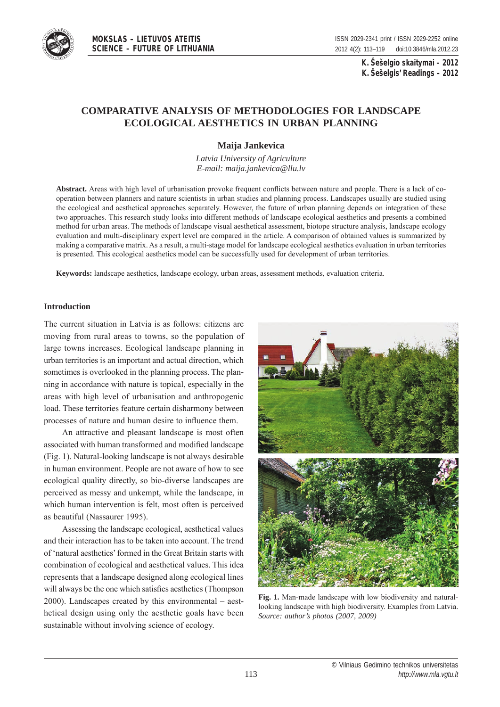

**MOKSLAS – LIETUVOS ATEITIS SCIENCE – FUTURE OF LITHUANIA**

**K. Šešelgio skaitymai – 2012 K. Šešelgis' Readings – 2012**

# **comparative analysis of methodologies for landscape ecological aesthetics in urban planning**

## **maija Jankevica**

*Latvia University of Agriculture E-mail: maija.jankevica@llu.lv*

**abstract.** Areas with high level of urbanisation provoke frequent conflicts between nature and people. There is a lack of cooperation between planners and nature scientists in urban studies and planning process. Landscapes usually are studied using the ecological and aesthetical approaches separately. However, the future of urban planning depends on integration of these two approaches. This research study looks into different methods of landscape ecological aesthetics and presents a combined method for urban areas. The methods of landscape visual aesthetical assessment, biotope structure analysis, landscape ecology evaluation and multi-disciplinary expert level are compared in the article. A comparison of obtained values is summarized by making a comparative matrix. As a result, a multi-stage model for landscape ecological aesthetics evaluation in urban territories is presented. This ecological aesthetics model can be successfully used for development of urban territories.

**Keywords:** landscape aesthetics, landscape ecology, urban areas, assessment methods, evaluation criteria.

## **introduction**

The current situation in Latvia is as follows: citizens are moving from rural areas to towns, so the population of large towns increases. Ecological landscape planning in urban territories is an important and actual direction, which sometimes is overlooked in the planning process. The planning in accordance with nature is topical, especially in the areas with high level of urbanisation and anthropogenic load. These territories feature certain disharmony between processes of nature and human desire to influence them.

An attractive and pleasant landscape is most often associated with human transformed and modified landscape (Fig. 1). Natural-looking landscape is not always desirable in human environment. People are not aware of how to see ecological quality directly, so bio-diverse landscapes are perceived as messy and unkempt, while the landscape, in which human intervention is felt, most often is perceived as beautiful (Nassaurer 1995).

Assessing the landscape ecological, aesthetical values and their interaction has to be taken into account. The trend of 'natural aesthetics' formed in the Great Britain starts with combination of ecological and aesthetical values. This idea represents that a landscape designed along ecological lines will always be the one which satisfies aesthetics (Thompson 2000). Landscapes created by this environmental – aesthetical design using only the aesthetic goals have been sustainable without involving science of ecology.



**fig. 1.** Man-made landscape with low biodiversity and naturallooking landscape with high biodiversity. Examples from Latvia. *Source: author's photos (2007, 2009)*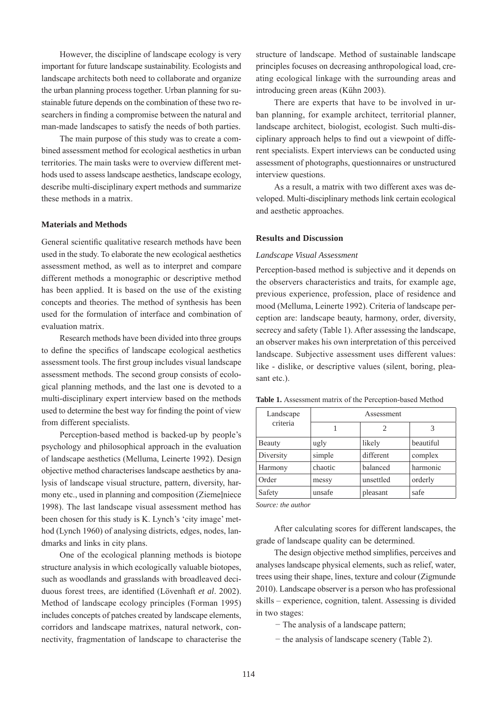However, the discipline of landscape ecology is very important for future landscape sustainability. Ecologists and landscape architects both need to collaborate and organize the urban planning process together. Urban planning for sustainable future depends on the combination of these two researchers in finding a compromise between the natural and man-made landscapes to satisfy the needs of both parties.

The main purpose of this study was to create a combined assessment method for ecological aesthetics in urban territories. The main tasks were to overview different methods used to assess landscape aesthetics, landscape ecology, describe multi-disciplinary expert methods and summarize these methods in a matrix.

## **materials and methods**

General scientific qualitative research methods have been used in the study. To elaborate the new ecological aesthetics assessment method, as well as to interpret and compare different methods a monographic or descriptive method has been applied. It is based on the use of the existing concepts and theories. The method of synthesis has been used for the formulation of interface and combination of evaluation matrix.

Research methods have been divided into three groups to define the specifics of landscape ecological aesthetics assessment tools. The first group includes visual landscape assessment methods. The second group consists of ecological planning methods, and the last one is devoted to a multi-disciplinary expert interview based on the methods used to determine the best way for finding the point of view from different specialists.

Perception-based method is backed-up by people's psychology and philosophical approach in the evaluation of landscape aesthetics (Melluma, Leinerte 1992). Design objective method characterises landscape aesthetics by analysis of landscape visual structure, pattern, diversity, harmony etc., used in planning and composition (Ziemeļniece 1998). The last landscape visual assessment method has been chosen for this study is K. Lynch's 'city image' method (Lynch 1960) of analysing districts, edges, nodes, landmarks and links in city plans.

One of the ecological planning methods is biotope structure analysis in which ecologically valuable biotopes, such as woodlands and grasslands with broadleaved deciduous forest trees, are identified (Lövenhaft *et al*. 2002). Method of landscape ecology principles (Forman 1995) includes concepts of patches created by landscape elements, corridors and landscape matrixes, natural network, connectivity, fragmentation of landscape to characterise the structure of landscape. Method of sustainable landscape principles focuses on decreasing anthropological load, creating ecological linkage with the surrounding areas and introducing green areas (Kühn 2003).

There are experts that have to be involved in urban planning, for example architect, territorial planner, landscape architect, biologist, ecologist. Such multi-disciplinary approach helps to find out a viewpoint of different specialists. Expert interviews can be conducted using assessment of photographs, questionnaires or unstructured interview questions.

As a result, a matrix with two different axes was developed. Multi-disciplinary methods link certain ecological and aesthetic approaches.

## **Results and Discussion**

## *Landscape Visual Assessment*

Perception-based method is subjective and it depends on the observers characteristics and traits, for example age, previous experience, profession, place of residence and mood (Melluma, Leinerte 1992). Criteria of landscape perception are: landscape beauty, harmony, order, diversity, secrecy and safety (Table 1). After assessing the landscape, an observer makes his own interpretation of this perceived landscape. Subjective assessment uses different values: like - dislike, or descriptive values (silent, boring, pleasant etc.).

| Landscape | Assessment |           |           |  |  |  |  |  |
|-----------|------------|-----------|-----------|--|--|--|--|--|
| criteria  |            | 2         | 3         |  |  |  |  |  |
| Beauty    | ugly       | likely    | beautiful |  |  |  |  |  |
| Diversity | simple     | different | complex   |  |  |  |  |  |
| Harmony   | chaotic    | balanced  | harmonic  |  |  |  |  |  |
| Order     | messy      | unsettled | orderly   |  |  |  |  |  |
| Safety    | unsafe     | pleasant  | safe      |  |  |  |  |  |

Table 1. Assessment matrix of the Perception-based Method

*Source: the author*

After calculating scores for different landscapes, the grade of landscape quality can be determined.

The design objective method simplifies, perceives and analyses landscape physical elements, such as relief, water, trees using their shape, lines, texture and colour (Zigmunde 2010). Landscape observer is a person who has professional skills – experience, cognition, talent. Assessing is divided in two stages:

− The analysis of a landscape pattern;

− the analysis of landscape scenery (Table 2).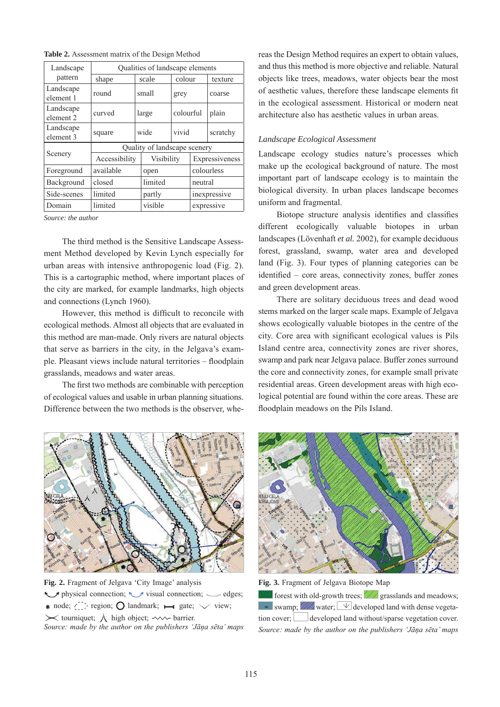**table 2.** Assessment matrix of the Design Method

| Landscape                         | Qualities of landscape elements |         |            |            |                |          |  |  |  |
|-----------------------------------|---------------------------------|---------|------------|------------|----------------|----------|--|--|--|
| pattern                           | scale<br>shape                  |         |            | colour     |                | texture  |  |  |  |
| Landscape<br>element 1            | round                           |         | small      | grey       |                | coarse   |  |  |  |
| Landscape<br>element <sub>2</sub> | curved                          |         | large      | colourful  |                | plain    |  |  |  |
| Landscape<br>element 3            | square                          |         | wide       | vivid      |                | scratchy |  |  |  |
|                                   | Quality of landscape scenery    |         |            |            |                |          |  |  |  |
| Scenery                           | Accessibility                   |         | Visibility |            | Expressiveness |          |  |  |  |
| Foreground                        | available                       | open    |            | colourless |                |          |  |  |  |
| Background                        | closed                          |         | limited    |            | neutral        |          |  |  |  |
| Side-scenes                       | limited                         |         | partly     |            | inexpressive   |          |  |  |  |
| Domain                            | limited                         | visible |            | expressive |                |          |  |  |  |

*Source: the author*

The third method is the Sensitive Landscape Assessment Method developed by Kevin Lynch especially for urban areas with intensive anthropogenic load (Fig. 2). This is a cartographic method, where important places of the city are marked, for example landmarks, high objects and connections (Lynch 1960).

However, this method is difficult to reconcile with ecological methods. Almost all objects that are evaluated in this method are man-made. Only rivers are natural objects that serve as barriers in the city, in the Jelgava's example. Pleasant views include natural territories – floodplain grasslands, meadows and water areas.

The first two methods are combinable with perception of ecological values and usable in urban planning situations. Difference between the two methods is the observer, whereas the Design Method requires an expert to obtain values, and thus this method is more objective and reliable. Natural objects like trees, meadows, water objects bear the most of aesthetic values, therefore these landscape elements fit in the ecological assessment. Historical or modern neat architecture also has aesthetic values in urban areas.

#### *Landscape Ecological Assessment*

Landscape ecology studies nature's processes which make up the ecological background of nature. The most important part of landscape ecology is to maintain the biological diversity. In urban places landscape becomes uniform and fragmental.

Biotope structure analysis identifies and classifies different ecologically valuable biotopes in urban landscapes (Lövenhaft *et al.* 2002), for example deciduous forest, grassland, swamp, water area and developed land (Fig. 3). Four types of planning categories can be identified – core areas, connectivity zones, buffer zones and green development areas.

There are solitary deciduous trees and dead wood stems marked on the larger scale maps. Example of Jelgava shows ecologically valuable biotopes in the centre of the city. Core area with significant ecological values is Pils Island centre area, connectivity zones are river shores, swamp and park near Jelgava palace. Buffer zones surround the core and connectivity zones, for example small private residential areas. Green development areas with high ecological potential are found within the core areas. These are floodplain meadows on the Pils Island.



**fig. 2.** Fragment of Jelgava 'City Image' analysis visual connection; visual connection;  $\mathbb{Z}$  visual connection;  $\mathbb{Z}$  edges; \* node;  $\bigcirc$  region; O landmark;  $\rightarrow$  gate;  $\vee$  view;  $\times$  tourniquet;  $\wedge$  high object;  $\sim$  barrier. *Source: made by the author on the publishers 'Jāņa sēta' maps*





forest with old-growth trees;  $\angle\angle\angle$  grasslands and meadows; swamp; water;  $\vee$  developed land with dense vegetation cover;  $\Box$  developed land without/sparse vegetation cover. *Source: made by the author on the publishers 'Jāņa sēta' maps*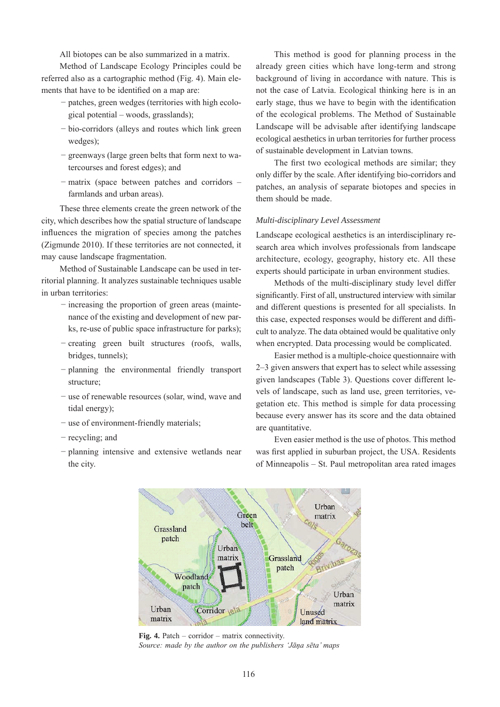All biotopes can be also summarized in a matrix.

Method of Landscape Ecology Principles could be referred also as a cartographic method (Fig. 4). Main elements that have to be identified on a map are:

- − patches, green wedges (territories with high ecological potential – woods, grasslands);
- − bio-corridors (alleys and routes which link green wedges);
- − greenways (large green belts that form next to watercourses and forest edges); and
- − matrix (space between patches and corridors farmlands and urban areas).

These three elements create the green network of the city, which describes how the spatial structure of landscape influences the migration of species among the patches (Zigmunde 2010). If these territories are not connected, it may cause landscape fragmentation.

Method of Sustainable Landscape can be used in territorial planning. It analyzes sustainable techniques usable in urban territories:

- − increasing the proportion of green areas (maintenance of the existing and development of new parks, re-use of public space infrastructure for parks);
- − creating green built structures (roofs, walls, bridges, tunnels);
- − planning the environmental friendly transport structure;
- − use of renewable resources (solar, wind, wave and tidal energy);
- − use of environment-friendly materials;
- − recycling; and
- − planning intensive and extensive wetlands near the city.

This method is good for planning process in the already green cities which have long-term and strong background of living in accordance with nature. This is not the case of Latvia. Ecological thinking here is in an early stage, thus we have to begin with the identification of the ecological problems. The Method of Sustainable Landscape will be advisable after identifying landscape ecological aesthetics in urban territories for further process of sustainable development in Latvian towns.

The first two ecological methods are similar; they only differ by the scale. After identifying bio-corridors and patches, an analysis of separate biotopes and species in them should be made.

## *Multi-disciplinary Level Assessment*

Landscape ecological aesthetics is an interdisciplinary research area which involves professionals from landscape architecture, ecology, geography, history etc. All these experts should participate in urban environment studies.

Methods of the multi-disciplinary study level differ significantly. First of all, unstructured interview with similar and different questions is presented for all specialists. In this case, expected responses would be different and difficult to analyze. The data obtained would be qualitative only when encrypted. Data processing would be complicated.

Easier method is a multiple-choice questionnaire with 2–3 given answers that expert has to select while assessing given landscapes (Table 3). Questions cover different levels of landscape, such as land use, green territories, vegetation etc. This method is simple for data processing because every answer has its score and the data obtained are quantitative.

Even easier method is the use of photos. This method was first applied in suburban project, the USA. Residents of Minneapolis – St. Paul metropolitan area rated images



**Fig. 4.** Patch – corridor – matrix connectivity. *Source: made by the author on the publishers 'Jāņa sēta' maps*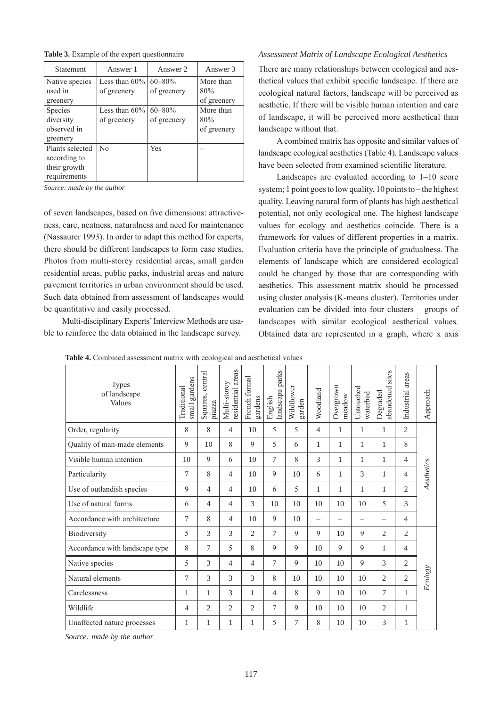|  |  |  |  | Table 3. Example of the expert questionnaire |
|--|--|--|--|----------------------------------------------|
|--|--|--|--|----------------------------------------------|

| <b>Statement</b>                                                | Answer 1                        | Answer 2                   | Answer 3                        |
|-----------------------------------------------------------------|---------------------------------|----------------------------|---------------------------------|
| Native species<br>used in<br>greenery                           | Less than $60\%$<br>of greenery | $60 - 80\%$<br>of greenery | More than<br>80%<br>of greenery |
| Species<br>diversity<br>observed in<br>greenery                 | Less than $60\%$<br>of greenery | $60 - 80\%$<br>of greenery | More than<br>80%<br>of greenery |
| Plants selected<br>according to<br>their growth<br>requirements | $\rm N_{0}$                     | Yes                        |                                 |

*Source: made by the author*

of seven landscapes, based on five dimensions: attractiveness, care, neatness, naturalness and need for maintenance (Nassaurer 1993). In order to adapt this method for experts, there should be different landscapes to form case studies. Photos from multi-storey residential areas, small garden residential areas, public parks, industrial areas and nature pavement territories in urban environment should be used. Such data obtained from assessment of landscapes would be quantitative and easily processed.

Multi-disciplinary Experts' Interview Methods are usable to reinforce the data obtained in the landscape survey.

#### *Assessment Matrix of Landscape Ecological Aesthetics*

There are many relationships between ecological and aesthetical values that exhibit specific landscape. If there are ecological natural factors, landscape will be perceived as aesthetic. If there will be visible human intention and care of landscape, it will be perceived more aesthetical than landscape without that.

A combined matrix has opposite and similar values of landscape ecological aesthetics (Table 4). Landscape values have been selected from examined scientific literature.

Landscapes are evaluated according to 1–10 score system; 1 point goes to low quality, 10 points to – the highest quality. Leaving natural form of plants has high aesthetical potential, not only ecological one. The highest landscape values for ecology and aesthetics coincide. There is a framework for values of different properties in a matrix. Evaluation criteria have the principle of gradualness. The elements of landscape which are considered ecological could be changed by those that are corresponding with aesthetics. This assessment matrix should be processed using cluster analysis (K-means cluster). Territories under evaluation can be divided into four clusters – groups of landscapes with similar ecological aesthetical values. Obtained data are represented in a graph, where x axis

| <b>Types</b><br>of landscape<br>Values | small gardens<br>Traditional | Squares, central<br>piazza | residential areas<br>Multi-storey | French formal<br>gardens | landscape parks<br>English | Wildflower<br>garden | Woodland                 | Overgrown<br>meadow | Untouched<br>waterbed    | sites<br>abandoned<br>Degraded | Industrial areas | Approach   |
|----------------------------------------|------------------------------|----------------------------|-----------------------------------|--------------------------|----------------------------|----------------------|--------------------------|---------------------|--------------------------|--------------------------------|------------------|------------|
| Order, regularity                      | 8                            | 8                          | $\overline{4}$                    | 10                       | 5                          | 5                    | $\overline{4}$           | 1                   | 1                        | 1                              | 2                |            |
| Quality of man-made elements           | 9                            | 10                         | 8                                 | 9                        | 5                          | 6                    | 1                        | 1                   | 1                        | 1                              | 8                |            |
| Visible human intention                | 10                           | 9                          | 6                                 | 10                       | 7                          | 8                    | 3                        | 1                   | 1                        | 1                              | $\overline{4}$   |            |
| Particularity                          | 7                            | 8                          | 4                                 | 10                       | 9                          | 10                   | 6                        | 1                   | 3                        | 1                              | $\overline{4}$   | Aesthetics |
| Use of outlandish species              | 9                            | 4                          | $\overline{4}$                    | 10                       | 6                          | 5                    | 1                        | 1                   | 1                        | 1                              | 2                |            |
| Use of natural forms                   | 6                            | $\overline{4}$             | $\overline{4}$                    | 3                        | 10                         | 10                   | 10                       | 10                  | 10                       | 5                              | 3                |            |
| Accordance with architecture           | 7                            | 8                          | $\overline{4}$                    | 10                       | 9                          | 10                   | $\overline{\phantom{0}}$ | -                   | $\overline{\phantom{0}}$ | $\overline{\phantom{0}}$       | $\overline{4}$   |            |
| Biodiversity                           | 5                            | 3                          | 3                                 | $\overline{c}$           | 7                          | 9                    | 9                        | 10                  | $\mathbf Q$              | $\overline{2}$                 | 2                |            |
| Accordance with landscape type         | 8                            | $\tau$                     | 5                                 | 8                        | 9                          | 9                    | 10                       | 9                   | 9                        | 1                              | $\overline{4}$   | Ecology    |
| Native species                         | 5                            | 3                          | $\overline{4}$                    | $\overline{4}$           | 7                          | 9                    | 10                       | 10                  | 9                        | 3                              | 2                |            |
| Natural elements                       | 7                            | 3                          | 3                                 | 3                        | 8                          | 10                   | 10                       | 10                  | 10                       | $\overline{2}$                 | $\overline{2}$   |            |
| Carelessness                           | 1                            | 1                          | 3                                 | 1                        | 4                          | 8                    | 9                        | 10                  | 10                       | 7                              | $\mathbf{1}$     |            |
| Wildlife                               | 4                            | $\overline{2}$             | $\overline{2}$                    | $\overline{c}$           | 7                          | 9                    | 10                       | 10                  | 10                       | $\overline{2}$                 | 1                |            |
| Unaffected nature processes            | 1                            | 1                          | 1                                 | 1                        | 5                          | $\overline{7}$       | 8                        | 10                  | 10                       | 3                              | 1                |            |

Table 4. Combined assessment matrix with ecological and aesthetical values

*Source: made by the author*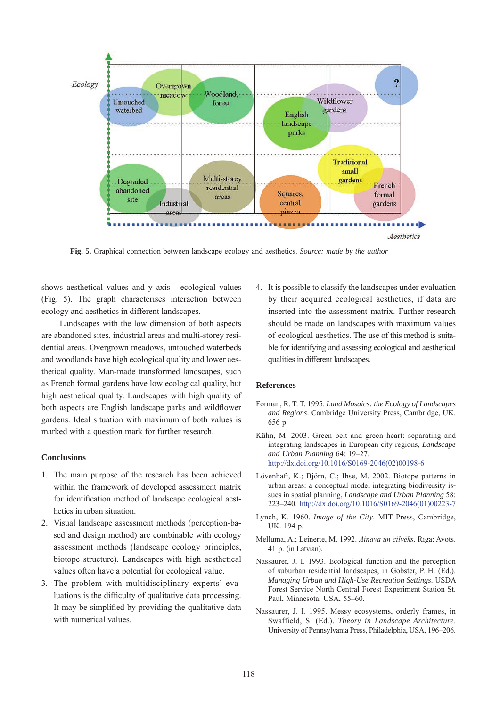

**fig. 5.** Graphical connection between landscape ecology and aesthetics. *Source: made by the author*

shows aesthetical values and y axis - ecological values (Fig. 5). The graph characterises interaction between ecology and aesthetics in different landscapes.

Landscapes with the low dimension of both aspects are abandoned sites, industrial areas and multi-storey residential areas. Overgrown meadows, untouched waterbeds and woodlands have high ecological quality and lower aesthetical quality. Man-made transformed landscapes, such as French formal gardens have low ecological quality, but high aesthetical quality. Landscapes with high quality of both aspects are English landscape parks and wildflower gardens. Ideal situation with maximum of both values is marked with a question mark for further research.

## **conclusions**

- 1. The main purpose of the research has been achieved within the framework of developed assessment matrix for identification method of landscape ecological aesthetics in urban situation.
- 2. Visual landscape assessment methods (perception-based and design method) are combinable with ecology assessment methods (landscape ecology principles, biotope structure). Landscapes with high aesthetical values often have a potential for ecological value.
- 3. The problem with multidisciplinary experts' evaluations is the difficulty of qualitative data processing. It may be simplified by providing the qualitative data with numerical values.

4. It is possible to classify the landscapes under evaluation by their acquired ecological aesthetics, if data are inserted into the assessment matrix. Further research should be made on landscapes with maximum values of ecological aesthetics. The use of this method is suitable for identifying and assessing ecological and aesthetical qualities in different landscapes.

#### **references**

- Forman, R. T. T. 1995. *Land Mosaics: the Ecology of Landscapes and Regions*. Cambridge University Press, Cambridge, UK. 656 p.
- Kühn, M. 2003. Green belt and green heart: separating and integrating landscapes in European city regions, *Landscape and Urban Planning* 64: 19–27. [http://dx.doi.org/10.1016/S0169-2046\(02\)00198-6](http://dx.doi.org/10.1016/S0169-2046(02)00198-6)
- Lövenhaft, K.; Björn, C.; Ihse, M. 2002. Biotope patterns in urban areas: a conceptual model integrating biodiversity issues in spatial planning, *Landscape and Urban Planning* 58: 223–240. [http://dx.doi.org/10.1016/S0169-2046\(01\)00223-7](http://dx.doi.org/10.1016/S0169-2046(01)00223-7)
- Lynch, K. 1960. *Image of the City*. MIT Press, Cambridge, UK. 194 p.
- Melluma, A.; Leinerte, M. 1992. *Ainava un cilvēks*. Rīga: Avots. 41 p. (in Latvian).
- Nassaurer, J. I. 1993. Ecological function and the perception of suburban residential landscapes, in Gobster, P. H. (Ed.). *Managing Urban and High-Use Recreation Settings*. USDA Forest Service North Central Forest Experiment Station St. Paul, Minnesota, USA, 55–60.
- Nassaurer, J. I. 1995. Messy ecosystems, orderly frames, in Swaffield, S. (Ed.). *Theory in Landscape Architecture*. University of Pennsylvania Press, Philadelphia, USA, 196–206.